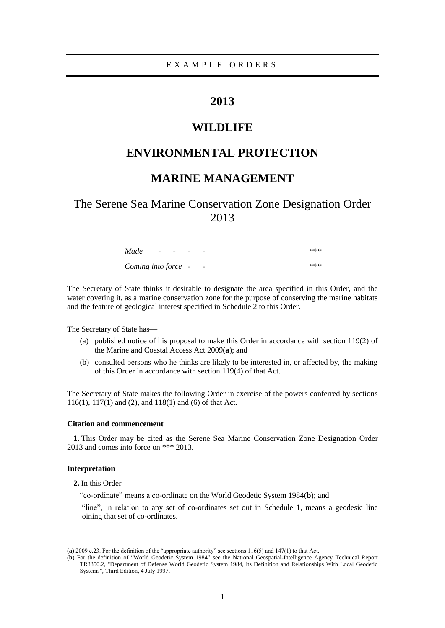# **2013**

# **WILDLIFE**

# **ENVIRONMENTAL PROTECTION**

# **MARINE MANAGEMENT**

The Serene Sea Marine Conservation Zone Designation Order 2013

| Made                | $\overline{\phantom{a}}$ | $-$ | $\overline{\phantom{0}}$ | - | *** |
|---------------------|--------------------------|-----|--------------------------|---|-----|
| Coming into force - |                          |     |                          | - | *** |

The Secretary of State thinks it desirable to designate the area specified in this Order, and the water covering it, as a marine conservation zone for the purpose of conserving the marine habitats and the feature of geological interest specified in Schedule 2 to this Order.

The Secretary of State has—

- (a) published notice of his proposal to make this Order in accordance with section 119(2) of the Marine and Coastal Access Act 2009(**a**); and
- (b) consulted persons who he thinks are likely to be interested in, or affected by, the making of this Order in accordance with section 119(4) of that Act.

The Secretary of State makes the following Order in exercise of the powers conferred by sections 116(1), 117(1) and (2), and 118(1) and (6) of that Act.

#### **Citation and commencement**

**1.** This Order may be cited as the Serene Sea Marine Conservation Zone Designation Order 2013 and comes into force on \*\*\* 2013.

#### **Interpretation**

 $\overline{a}$ 

**2.** In this Order—

―co-ordinate‖ means a co-ordinate on the World Geodetic System 1984(**b**); and

"line", in relation to any set of co-ordinates set out in Schedule 1, means a geodesic line joining that set of co-ordinates.

<sup>(</sup>a)  $2009$  c.23. For the definition of the "appropriate authority" see sections  $116(5)$  and  $147(1)$  to that Act.

<sup>(</sup>**b**) For the definition of "World Geodetic System 1984" see the National Geospatial-Intelligence Agency Technical Report TR8350.2, "Department of Defense World Geodetic System 1984, Its Definition and Relationships With Local Geodetic Systems", Third Edition, 4 July 1997.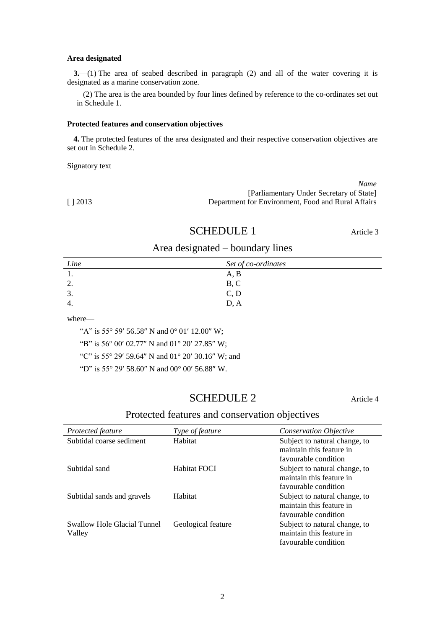#### **Area designated**

**3.**—(1) The area of seabed described in paragraph (2) and all of the water covering it is designated as a marine conservation zone.

(2) The area is the area bounded by four lines defined by reference to the co-ordinates set out in Schedule 1.

#### **Protected features and conservation objectives**

**4.** The protected features of the area designated and their respective conservation objectives are set out in Schedule 2.

Signatory text

|       | Name                                               |
|-------|----------------------------------------------------|
|       | [Parliamentary Under Secretary of State]           |
| 12013 | Department for Environment. Food and Rural Affairs |

### SCHEDULE 1 Article 3

### Area designated – boundary lines

| Line     | Set of co-ordinates |
|----------|---------------------|
|          | A, B                |
| <u>.</u> | B, C                |
| <u>.</u> | C, D                |
| ᠇.       | D. A                |

where—

"A" is 55° 59′ 56.58" N and  $0^{\circ}$  01′ 12.00" W;

"B" is 56° 00' 02.77" N and 01° 20' 27.85" W;

"C" is 55° 29′ 59.64" N and 01° 20′ 30.16" W; and

"D" is 55° 29′ 58.60" N and 00° 00′ 56.88" W.

# SCHEDULE 2 Article 4

### Protected features and conservation objectives

| Protected feature                            | <i>Type of feature</i> | <b>Conservation Objective</b>                                                     |
|----------------------------------------------|------------------------|-----------------------------------------------------------------------------------|
| Subtidal coarse sediment                     | Habitat                | Subject to natural change, to<br>maintain this feature in<br>favourable condition |
| Subtidal sand                                | Habitat FOCI           | Subject to natural change, to<br>maintain this feature in<br>favourable condition |
| Subtidal sands and gravels                   | Habitat                | Subject to natural change, to<br>maintain this feature in<br>favourable condition |
| <b>Swallow Hole Glacial Tunnel</b><br>Valley | Geological feature     | Subject to natural change, to<br>maintain this feature in<br>favourable condition |